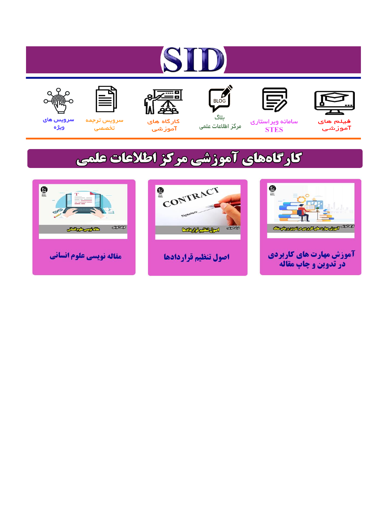# ST











ىلاگ



مرکز اطلاعات علمی

 $\frac{1}{\sqrt{\frac{1}{100}}}$ 

Cologie Legislation

کارگاه های آموزشي

空

ققق

 $\begin{matrix} \textcircled{\footnotesize{A}}\\ \textcircled{\footnotesize{B}} \end{matrix}$ 

سرويس ترجمه تخصصى



سرویس های ويژه

كارگاههای آموزشی مركز اطلاعات علمی

CONTRACT

اصول تنظيم قراردادها



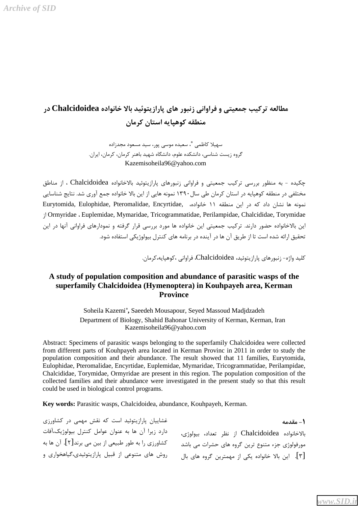## مطالعه تركيب جمعيتي و فراواني زنبور هاي پارازيتوئيد بالا خانواده Chalcidoidea در منطقه کوهپایه استان کرمان

سهيلا كاظمى \*، سعيده موسى پور، سيد مسعود مجدزاده گروه زیست شناسی، دانشکده علوم، دانشگاه شهید باهنر کرمان، ایران. Kazemisoheila96@yahoo.com

چکیده - به منظور بررسی ترکیب جمعیتی و فراوانی زنبورهای پارازیتوئید بالاخانواده Chalcidoidea ، از مناطق مختلفی در منطقه کوهپایه در استان کرمان طی سال ۱۳۹۰ نمونه هایی از این بالا خانواده جمع آوری شد. نتایج شناسایی نمونه ها نشان داد که در این منطقه ۱۱ خانواده، ,Eurytomida, Eulophidae, Pteromalidae, Encyrtidae Ormyridae  Euplemidae, Mymaridae, Tricogrammatidae, Perilampidae, Chalcididae, Torymidae این بالاخانواده حضور دارند. ترکیب جمعیتی این خانواده ها مورد بررسی قرار گرفته و نمودارهای فراوانی آنها در این تحقیق ارائه شده است تا از طریق آن ها در آینده در برنامه های کنترل بیولوژیکی استفاده شود.

كليد واژه- زنبورهاي پارازيتوئيد، Chalcidoidea، فراواني ،كوهپايه،كرمان.

### **A study of population composition and abundance of parasitic wasps of the superfamily Chalcidoidea (Hymenoptera) in Kouhpayeh area, Kerman Province**

Soheila Kazemi\* **,** Saeedeh Mousapour, Seyed Massoud Madjdzadeh Department of Biology, Shahid Bahonar University of Kerman, Kerman, Iran Kazemisoheila96@yahoo.com

Abstract: Specimens of parasitic wasps belonging to the superfamily Chalcidoidea were collected from different parts of Kouhpayeh area located in Kerman Provinc in 2011 in order to study the population composition and their abundance. The result showed that 11 families, Eurytomida, Eulophidae, Pteromalidae, Encyrtidae, Euplemidae, Mymaridae, Tricogrammatidae, Perilampidae, Chalcididae, Torymidae, Ormyridae are present in this region. The population composition of the collected families and their abundance were investigated in the present study so that this result could be used in biological control programs.

**Key words:** Parasitic wasps, Chalcidoidea, abundance, Kouhpayeh, Kerman.

**(**- مقدمه بالإخانواده Chalcidoidea از نظر تعداد، بيولوژي، مورفولوژی جزء متنوع ترین گروه های حشرات می باشد [۳]. این بالا خانواده یکی از مهمترین گروه های بال غشاییان پارازیتوئید است که نقش مهمی در کشاورزی دارد زيرا آن ها به عنوان عوامل كنترل بيولوژيک،آفات كشاورزي را به طور طبيعي از بين مي برند[٢]. آن ها به روش های متنوعی از قبیل پارازیتوئیدی،گیاهخواری و

*[www.SID.ir](http://www.sid.ir)*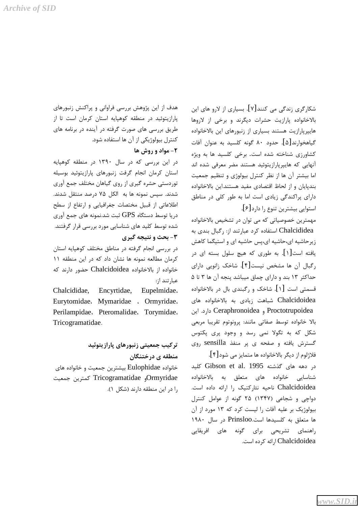هدف از این پژوهش بررسی فراوانی و پراکنش زنبورهای پارازیتوئید در منطقه کوهپایه استان کرمان است تا از طریق بررسی های صورت گرفته در آینده در برنامه های كنترل بيولوژيكي از آن ها استفاده شود.

### ۲- مواد و روش ها

در این بررسی که در سال ۱۳۹۰ در منطقه کوهپایه استان كرمان انجام گرفت زنبورهاى پارازيتوئيد بوسيله توردستی حشره گیری از روی گیاهان مختلف جمع آوری شدند. سیس نمونه ها به الکل ۷۵ درصد منتقل شدند. اطلاعاتی از قبیل مختصات جغرافیایی و ارتفاع از سطح دریا توسط دستگاه  ${\rm GPS}$  ثبت شد.نمونه های جمع آوری شده توسط کلید های شناسایی مورد بررسی قرار گرفتند. **۳**- بحث و نتیجه گیری

در بررسی انجام گرفته در مناطق مختلف کوهپایه استان كرمان مطالعه نمونه ها نشان داد كه در اين منطقه ١١ خانواده از بالاخانواده Chalcidoidea حضور دارند که عبا, تند از:

Chalcididae, Encyrtidae, Eupelmidae. Eurytomidae. Mymaridae. Ormyridae. Perilampidae. Pteromalidae. Torymidae. Tricogramatidae.

> تركيب جمعيتي زنبورهاي پارازيتوئيد منطقه ی درختنگان

خانواده Eulophidae بيشترين جمعيت و خانواده هاي Ormyridae و Tricogramatidae كمترين جمعيت را در این منطقه دارند (شکل ۱). شکارگری زندگی می کنند[۷]. بسیاری از لارو های این بالاخانواده پارازیت حشرات دیگرند و برخی از لاروها هایپرپارازیت هستند بسیاری از زنبورهای این بالاخانواده گیاهخوارند[۵]. حدود ۸۰ گونه کلسید به عنوان آفات کشاورزی شناخته شده است. برخی کلسید ها به ویژه آنهایی که هایپرپارازیتوئید هستند مضر معرفی شده اند اما بیشتر آن ها از نظر کنترل بیولوژی و تنظیم جمعیت بندپایان و از لحاظ اقتصادی مفید هستند.این بالاخانواده دارای پراکندگی زیادی است اما به طور کلی در مناطق استوابي بيشترين تنوع ,ا دارد[۶].

مهمترین خصوصیاتی که می توان در تشخیص بالاخانواده Chalcididea استفاده كرد عبارتند از: ركبال بندى به زیر حاشیه ای،حاشیه ای،پس حاشیه ای و استیگما کاهش یافته است[۱]. به طوری که هیچ سلول بسته ای در ركبال أن ها مشخص نيست [۴]. شاخك زانويي داراي حداکثر ۱۳ بند و دارای چماق میباشد پنجه آن ها ۳ تا ۵ قسمتی است [۱]. شاخک و رگبندی بال در بالاخانواده Chalcidoidea شباهت زيادى به بالاخانواده هاى Proctotrupoidea و Ceraphronoidea دارد. این بالا خانواده توسط صفاتي مانند: پرونوتوم تقريبا مربعي شکل که به تگولا نمی رسد و وجود پری پکتوس گسترش یافته و صفحه ی پر منفذ sensilla روی

فلاژلوم از ديگر بالاخانواده ها متمايز مي شود[۴]. در دهه های گذشته Gibson et al. 1995 کلید شناسايي خانواده هاي متعلق به بالاخانواده Chalcidoidea ناحیه نئارکتیک را ارائه داده است. دواچی و شجاعی (۱۳۴۷) ۲۵ گونه از عوامل کنترل بیولوژیک بر علیه آفات را لیست کرد که ۱۳ مورد از آن ها متعلق به كلسيدها است.Prinsloo در سال ١٩٨٠ راهنمای تشریحی برای گونه های افریقایی Chalcidoidea ارائه کرده است.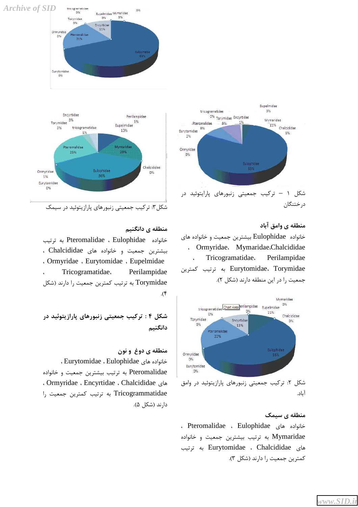



شکل۳: ترکیب جمعیتی زنبورهای پارازیتوئید در سیمک

منطقه ی دانگنی<u>م</u>

خانواده Eulophidae ، Eulophidae به ترتيب بیشترین جمعیت و خانواده های Chalcididae ،  Ormyridae  Eurytomidae  Eupelmidae  Tricogramatidae  Perilampidae Torymidae به ترتیب کمترین جمعیت را دارند (شکل  $\mathcal{A}$ .

 **- 4 : 789 6(2** 

منطقه ی دوغ و نون  Eurytomidae  Eulophidae 7( "4 Pteromalidae به ترتیب بیشترین جمعیت و خانواده  Ormyridae  Encyrtidae  Chalcididae 7( Tricogrammatidae به ترتیب کمترین جمعیت را دارند (شکل ۵).



منطقه ي وامق آباد خانواده Eulophidae بيشترين جمعيت و خانواده هاى  Ormyridae MymaridaeChalcididae Tricogramatidae. Perilampidae Eurytomidae، Torymidae به ترتیب کمترین جمعیت را در این منطقه دارند (شکل ۲).



منطقه ی سیمک

  Pteromalidae  Eulophidae 7( "4 Mymaridae به ترتيب بيشترين جمعيت و خانواده 122 .) Eurytomidae  Chalcididae 7( كمترين جمعيت را دارند (شكل ٣).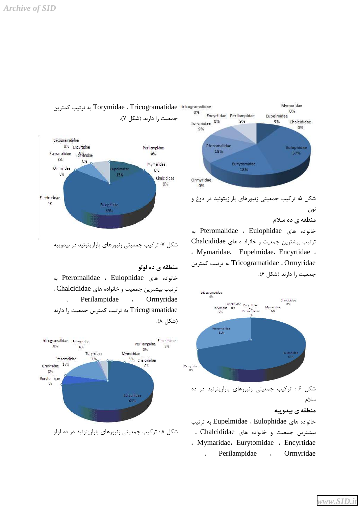

شکل ۷: ترکیب جمعیتی زنبورهای پارازیتوئید در بیدوییه

منطقه ي ده لولو خانواده های Pteromalidae ، Eulophidae به ترتيب بيشترين جمعيت وخانواده هاى Chalcididae ، Perilampidae . Ormyridae Tricogramatidae به ترتیب کمترین جمعیت را دارند (شكل ۸).



شکل ۸ : ترکیب جمعیتی زنبورهای پارازیتوئید در ده لولو



نون

منطقه ی ده سلام

خانواده های Pteromalidae ، Eulophidae به ترتيب بيشترين جمعيت و خانواد ه هاى Chalcididae . Mymaridae. Eupelmidae. Encyrtidae. E/ 122 .) Tricogramatidae  Ormyridae جمعیت ,ا دا,ند (شکل ۶).



Perilampidae . Ormyridae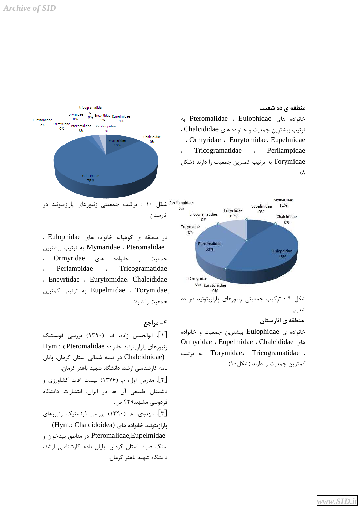

منطقه ی ده شعیب خانواده های Pteromalidae ، Eulophidae به ترتيب بيشترين جمعيت و خانواده هاي Chalcididae .  Ormyridae  Eurytomidae  Eupelmidae  Tricogramatidae  Perilampidae Torymidae به ترتیب کمترین جمعیت را دارند (شکل  $\Lambda$ 

شکل ۱۰ : ترکیب جمعیتی زنبورهای پارازیتوئید در انارستان

 E/ 122 .) Eupelmidae  Torymidae در منطقه ی کوهیایه خانواده های Eulophidae ، E/!) 122 . Mymaridae  Pteromalidae  Ormyridae 7( "4 0 Perlampidae . Tricogramatidae  Encyrtidae  Eurytomidae  Chalcididae جمعیت ,ا دارند.



#### منطقه ی انارستا<u>ن</u>

خانواده ي Eulophidae بيشترين جمعيت و خانواده Ormyridae  Eupelmidae  Chalcididae 7( 122 .) Torymidae  Tricogramatidae  كمترين جمعيت را دارند (شكل ١٠).

#### **? 4 -**

[۱]. ابوالحسن زاده، ف. (۱۳۹۰) بررسی فونستیک itym.: (Pteromalidae بارازيتوئيد خانواده) Chalcidoidae) در نیمه شمالی استان کرمان. پایان نامه کارشناسی ارشد، دانشگاه شهید باهنر کرمان. [۲]. مدرس اول، م. (۱۳۷۶) لیست آفات کشاورزی و دشمنان طبیعی آن ها در ایران. انتشارات دانشگاه فردوسی مشهد.۴۲۹ ص. [۳]. مهدوی، م. (۱۳۹۰) بررسی فونستیک زنبورهای (Hym.: Chalcidoidea) 7( "4 6/ Pteromalidae,Eupelmidae در مناطق بيدخوان و سنگ صیاد استان کرمان. پایان نامه کارشناسی ارشد، دانشگاه شهید باهنر کرمان.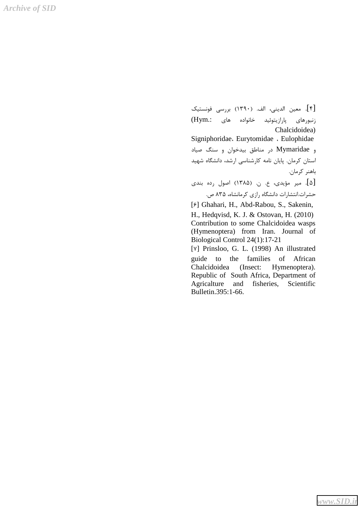*Archive of SID*

[۴]. معين الديني، الف. (١٣٩٠) بررسي فونستيك زنبورهای پارازیتوئید خانواده های :Hym) Chalcidoidea) Signiphoridae  Eurytomidae  Eulophidae و Mymaridae در مناطق بیدخوان و سنگ صیاد ستان کرمان. پایان نامه کارشناسی ارشد، دانشگاه شهید I باهنر كرمان. [۵]. میر مؤیدی، ع. ن. (۱۳۸۵) اصول رده بندی حشرات.انتشارات دانشگاه رازی کرمانشاه، ۸۳۵ ص. [6] Ghahari, H., Abd-Rabou, S., Sakenin, H., Hedqvisd, K. J. & Ostovan, H. (2010) Contribution to some Chalcidoidea wasps (Hymenoptera) from Iran. Journal of Biological Control 24(1):17-21 [7] Prinsloo, G. L. (1998) An illustrated guide to the families of African

Chalcidoidea (Insect: Hymenoptera). Republic of South Africa, Department of Agricalture and fisheries, Scientific Bulletin.395:1-66.